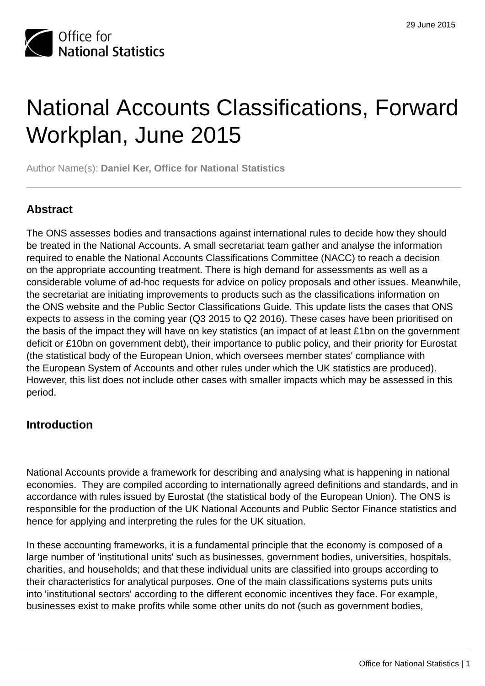

# National Accounts Classifications, Forward Workplan, June 2015

Author Name(s): **Daniel Ker, Office for National Statistics**

# **Abstract**

The ONS assesses bodies and transactions against international rules to decide how they should be treated in the National Accounts. A small secretariat team gather and analyse the information required to enable the National Accounts Classifications Committee (NACC) to reach a decision on the appropriate accounting treatment. There is high demand for assessments as well as a considerable volume of ad-hoc requests for advice on policy proposals and other issues. Meanwhile, the secretariat are initiating improvements to products such as the classifications information on the ONS website and the Public Sector Classifications Guide. This update lists the cases that ONS expects to assess in the coming year (Q3 2015 to Q2 2016). These cases have been prioritised on the basis of the impact they will have on key statistics (an impact of at least £1bn on the government deficit or £10bn on government debt), their importance to public policy, and their priority for Eurostat (the statistical body of the European Union, which oversees member states' compliance with the European System of Accounts and other rules under which the UK statistics are produced). However, this list does not include other cases with smaller impacts which may be assessed in this period.

# **Introduction**

National Accounts provide a framework for describing and analysing what is happening in national economies. They are compiled according to internationally agreed definitions and standards, and in accordance with rules issued by Eurostat (the statistical body of the European Union). The ONS is responsible for the production of the UK National Accounts and Public Sector Finance statistics and hence for applying and interpreting the rules for the UK situation.

In these accounting frameworks, it is a fundamental principle that the economy is composed of a large number of 'institutional units' such as businesses, government bodies, universities, hospitals, charities, and households; and that these individual units are classified into groups according to their characteristics for analytical purposes. One of the main classifications systems puts units into 'institutional sectors' according to the different economic incentives they face. For example, businesses exist to make profits while some other units do not (such as government bodies,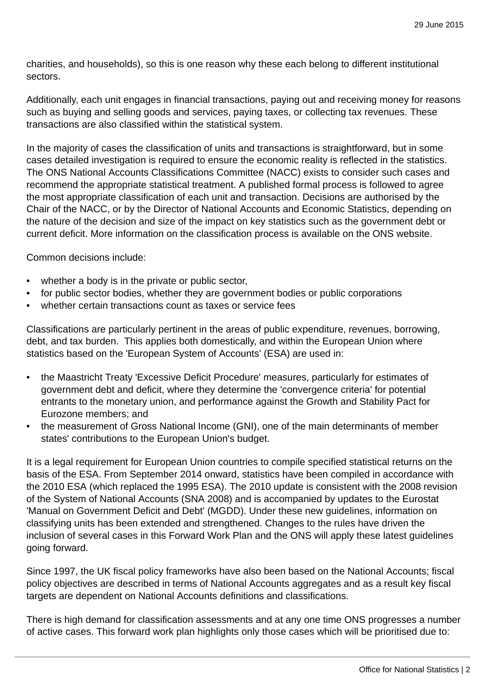charities, and households), so this is one reason why these each belong to different institutional sectors.

Additionally, each unit engages in financial transactions, paying out and receiving money for reasons such as buying and selling goods and services, paying taxes, or collecting tax revenues. These transactions are also classified within the statistical system.

In the majority of cases the classification of units and transactions is straightforward, but in some cases detailed investigation is required to ensure the economic reality is reflected in the statistics. The ONS National Accounts Classifications Committee (NACC) exists to consider such cases and recommend the appropriate statistical treatment. A published formal process is followed to agree the most appropriate classification of each unit and transaction. Decisions are authorised by the Chair of the NACC, or by the Director of National Accounts and Economic Statistics, depending on the nature of the decision and size of the impact on key statistics such as the government debt or current deficit. More information on the classification process is available on the ONS website.

Common decisions include:

- whether a body is in the private or public sector,
- for public sector bodies, whether they are government bodies or public corporations
- whether certain transactions count as taxes or service fees

Classifications are particularly pertinent in the areas of public expenditure, revenues, borrowing, debt, and tax burden. This applies both domestically, and within the European Union where statistics based on the 'European System of Accounts' (ESA) are used in:

- the Maastricht Treaty 'Excessive Deficit Procedure' measures, particularly for estimates of government debt and deficit, where they determine the 'convergence criteria' for potential entrants to the monetary union, and performance against the Growth and Stability Pact for Eurozone members; and
- the measurement of Gross National Income (GNI), one of the main determinants of member states' contributions to the European Union's budget.

It is a legal requirement for European Union countries to compile specified statistical returns on the basis of the ESA. From September 2014 onward, statistics have been compiled in accordance with the 2010 ESA (which replaced the 1995 ESA). The 2010 update is consistent with the 2008 revision of the System of National Accounts (SNA 2008) and is accompanied by updates to the Eurostat 'Manual on Government Deficit and Debt' (MGDD). Under these new guidelines, information on classifying units has been extended and strengthened. Changes to the rules have driven the inclusion of several cases in this Forward Work Plan and the ONS will apply these latest guidelines going forward.

Since 1997, the UK fiscal policy frameworks have also been based on the National Accounts; fiscal policy objectives are described in terms of National Accounts aggregates and as a result key fiscal targets are dependent on National Accounts definitions and classifications.

There is high demand for classification assessments and at any one time ONS progresses a number of active cases. This forward work plan highlights only those cases which will be prioritised due to: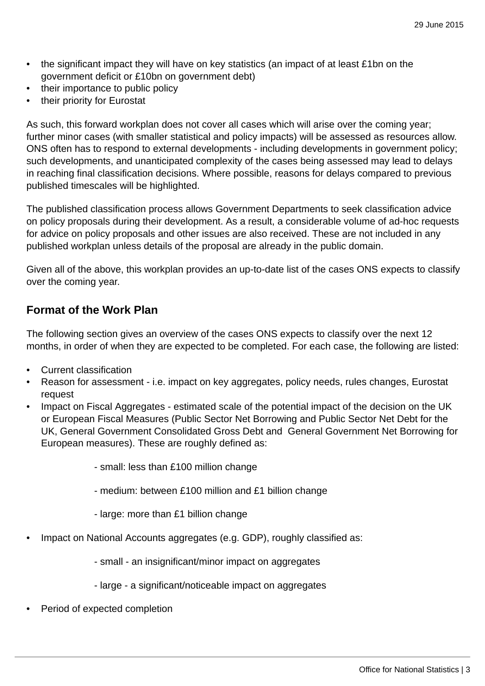- the significant impact they will have on key statistics (an impact of at least £1bn on the government deficit or £10bn on government debt)
- their importance to public policy
- their priority for Eurostat

As such, this forward workplan does not cover all cases which will arise over the coming year; further minor cases (with smaller statistical and policy impacts) will be assessed as resources allow. ONS often has to respond to external developments - including developments in government policy; such developments, and unanticipated complexity of the cases being assessed may lead to delays in reaching final classification decisions. Where possible, reasons for delays compared to previous published timescales will be highlighted.

The published classification process allows Government Departments to seek classification advice on policy proposals during their development. As a result, a considerable volume of ad-hoc requests for advice on policy proposals and other issues are also received. These are not included in any published workplan unless details of the proposal are already in the public domain.

Given all of the above, this workplan provides an up-to-date list of the cases ONS expects to classify over the coming year.

## **Format of the Work Plan**

The following section gives an overview of the cases ONS expects to classify over the next 12 months, in order of when they are expected to be completed. For each case, the following are listed:

- Current classification
- Reason for assessment i.e. impact on key aggregates, policy needs, rules changes, Eurostat request
- Impact on Fiscal Aggregates estimated scale of the potential impact of the decision on the UK or European Fiscal Measures (Public Sector Net Borrowing and Public Sector Net Debt for the UK, General Government Consolidated Gross Debt and General Government Net Borrowing for European measures). These are roughly defined as:
	- small: less than £100 million change
	- medium: between £100 million and £1 billion change
	- large: more than £1 billion change
- Impact on National Accounts aggregates (e.g. GDP), roughly classified as:
	- small an insignificant/minor impact on aggregates
	- large a significant/noticeable impact on aggregates
- Period of expected completion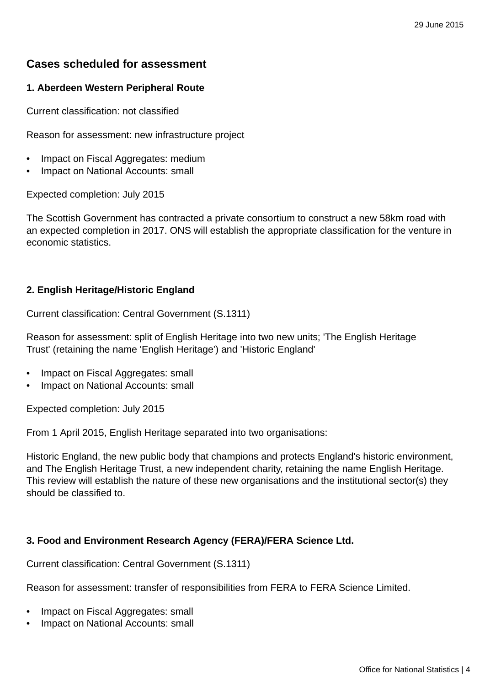# **Cases scheduled for assessment**

## **1. Aberdeen Western Peripheral Route**

Current classification: not classified

Reason for assessment: new infrastructure project

- Impact on Fiscal Aggregates: medium
- Impact on National Accounts: small

Expected completion: July 2015

The Scottish Government has contracted a private consortium to construct a new 58km road with an expected completion in 2017. ONS will establish the appropriate classification for the venture in economic statistics.

#### **2. English Heritage/Historic England**

Current classification: Central Government (S.1311)

Reason for assessment: split of English Heritage into two new units; 'The English Heritage Trust' (retaining the name 'English Heritage') and 'Historic England'

- Impact on Fiscal Aggregates: small
- Impact on National Accounts: small

Expected completion: July 2015

From 1 April 2015, English Heritage separated into two organisations:

Historic England, the new public body that champions and protects England's historic environment, and The English Heritage Trust, a new independent charity, retaining the name English Heritage. This review will establish the nature of these new organisations and the institutional sector(s) they should be classified to.

#### **3. Food and Environment Research Agency (FERA)/FERA Science Ltd.**

Current classification: Central Government (S.1311)

Reason for assessment: transfer of responsibilities from FERA to FERA Science Limited.

- Impact on Fiscal Aggregates: small
- Impact on National Accounts: small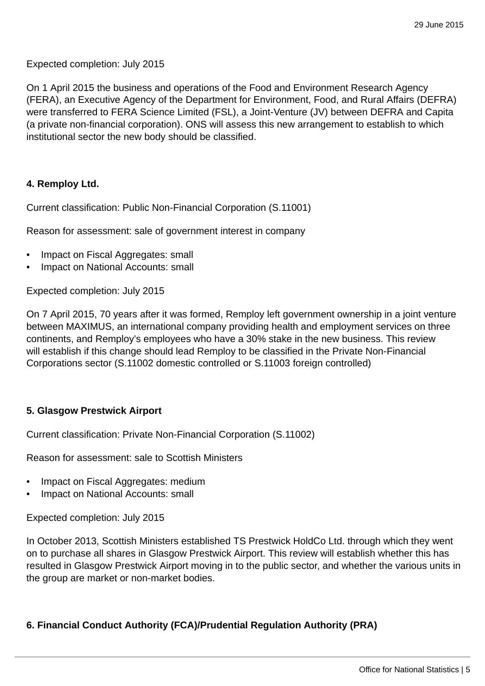Expected completion: July 2015

On 1 April 2015 the business and operations of the Food and Environment Research Agency (FERA), an Executive Agency of the Department for Environment, Food, and Rural Affairs (DEFRA) were transferred to FERA Science Limited (FSL), a Joint-Venture (JV) between DEFRA and Capita (a private non-financial corporation). ONS will assess this new arrangement to establish to which institutional sector the new body should be classified.

#### **4. Remploy Ltd.**

Current classification: Public Non-Financial Corporation (S.11001)

Reason for assessment: sale of government interest in company

- Impact on Fiscal Aggregates: small
- Impact on National Accounts: small

Expected completion: July 2015

On 7 April 2015, 70 years after it was formed, Remploy left government ownership in a joint venture between MAXIMUS, an international company providing health and employment services on three continents, and Remploy's employees who have a 30% stake in the new business. This review will establish if this change should lead Remploy to be classified in the Private Non-Financial Corporations sector (S.11002 domestic controlled or S.11003 foreign controlled)

#### **5. Glasgow Prestwick Airport**

Current classification: Private Non-Financial Corporation (S.11002)

Reason for assessment: sale to Scottish Ministers

- Impact on Fiscal Aggregates: medium
- Impact on National Accounts: small

Expected completion: July 2015

In October 2013, Scottish Ministers established TS Prestwick HoldCo Ltd. through which they went on to purchase all shares in Glasgow Prestwick Airport. This review will establish whether this has resulted in Glasgow Prestwick Airport moving in to the public sector, and whether the various units in the group are market or non-market bodies.

## **6. Financial Conduct Authority (FCA)/Prudential Regulation Authority (PRA)**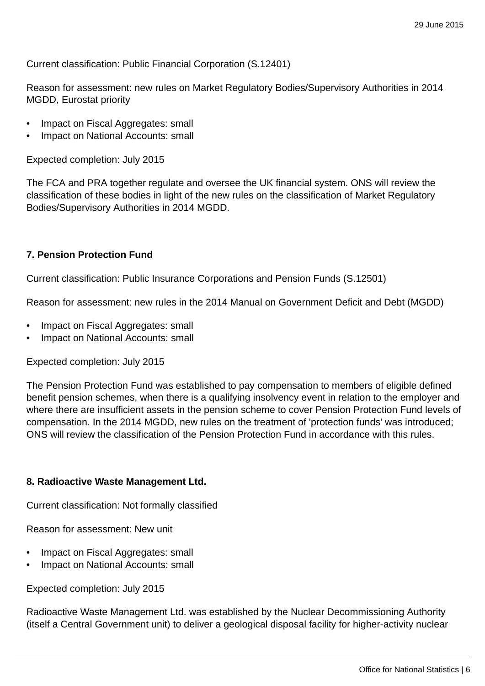Current classification: Public Financial Corporation (S.12401)

Reason for assessment: new rules on Market Regulatory Bodies/Supervisory Authorities in 2014 MGDD, Eurostat priority

- Impact on Fiscal Aggregates: small
- Impact on National Accounts: small

Expected completion: July 2015

The FCA and PRA together regulate and oversee the UK financial system. ONS will review the classification of these bodies in light of the new rules on the classification of Market Regulatory Bodies/Supervisory Authorities in 2014 MGDD.

#### **7. Pension Protection Fund**

Current classification: Public Insurance Corporations and Pension Funds (S.12501)

Reason for assessment: new rules in the 2014 Manual on Government Deficit and Debt (MGDD)

- Impact on Fiscal Aggregates: small
- Impact on National Accounts: small

Expected completion: July 2015

The Pension Protection Fund was established to pay compensation to members of eligible defined benefit pension schemes, when there is a qualifying insolvency event in relation to the employer and where there are insufficient assets in the pension scheme to cover Pension Protection Fund levels of compensation. In the 2014 MGDD, new rules on the treatment of 'protection funds' was introduced; ONS will review the classification of the Pension Protection Fund in accordance with this rules.

#### **8. Radioactive Waste Management Ltd.**

Current classification: Not formally classified

Reason for assessment: New unit

- Impact on Fiscal Aggregates: small
- Impact on National Accounts: small

Expected completion: July 2015

Radioactive Waste Management Ltd. was established by the Nuclear Decommissioning Authority (itself a Central Government unit) to deliver a geological disposal facility for higher-activity nuclear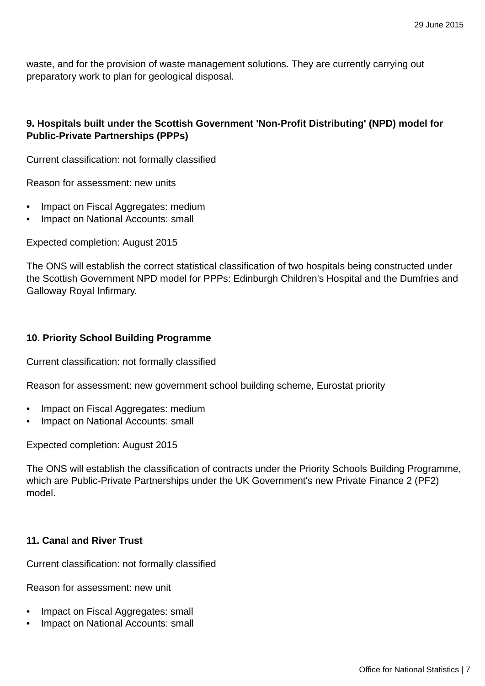waste, and for the provision of waste management solutions. They are currently carrying out preparatory work to plan for geological disposal.

## **9. Hospitals built under the Scottish Government 'Non-Profit Distributing' (NPD) model for Public-Private Partnerships (PPPs)**

Current classification: not formally classified

Reason for assessment: new units

- Impact on Fiscal Aggregates: medium
- Impact on National Accounts: small

Expected completion: August 2015

The ONS will establish the correct statistical classification of two hospitals being constructed under the Scottish Government NPD model for PPPs: Edinburgh Children's Hospital and the Dumfries and Galloway Royal Infirmary.

#### **10. Priority School Building Programme**

Current classification: not formally classified

Reason for assessment: new government school building scheme, Eurostat priority

- Impact on Fiscal Aggregates: medium
- Impact on National Accounts: small

Expected completion: August 2015

The ONS will establish the classification of contracts under the Priority Schools Building Programme, which are Public-Private Partnerships under the UK Government's new Private Finance 2 (PF2) model.

#### **11. Canal and River Trust**

Current classification: not formally classified

Reason for assessment: new unit

- Impact on Fiscal Aggregates: small
- Impact on National Accounts: small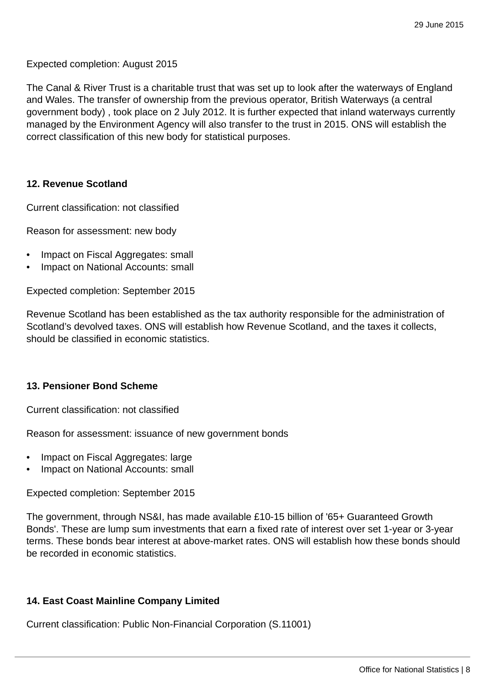Expected completion: August 2015

The Canal & River Trust is a charitable trust that was set up to look after the waterways of England and Wales. The transfer of ownership from the previous operator, British Waterways (a central government body) , took place on 2 July 2012. It is further expected that inland waterways currently managed by the Environment Agency will also transfer to the trust in 2015. ONS will establish the correct classification of this new body for statistical purposes.

#### **12. Revenue Scotland**

Current classification: not classified

Reason for assessment: new body

- Impact on Fiscal Aggregates: small
- Impact on National Accounts: small

Expected completion: September 2015

Revenue Scotland has been established as the tax authority responsible for the administration of Scotland's devolved taxes. ONS will establish how Revenue Scotland, and the taxes it collects, should be classified in economic statistics.

#### **13. Pensioner Bond Scheme**

Current classification: not classified

Reason for assessment: issuance of new government bonds

- Impact on Fiscal Aggregates: large
- Impact on National Accounts: small

Expected completion: September 2015

The government, through NS&I, has made available £10-15 billion of '65+ Guaranteed Growth Bonds'. These are lump sum investments that earn a fixed rate of interest over set 1-year or 3-year terms. These bonds bear interest at above-market rates. ONS will establish how these bonds should be recorded in economic statistics.

#### **14. East Coast Mainline Company Limited**

Current classification: Public Non-Financial Corporation (S.11001)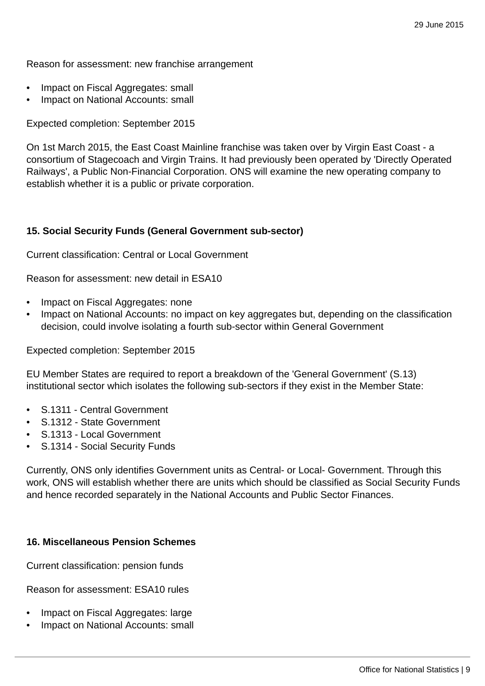Reason for assessment: new franchise arrangement

- Impact on Fiscal Aggregates: small
- Impact on National Accounts: small

Expected completion: September 2015

On 1st March 2015, the East Coast Mainline franchise was taken over by Virgin East Coast - a consortium of Stagecoach and Virgin Trains. It had previously been operated by 'Directly Operated Railways', a Public Non-Financial Corporation. ONS will examine the new operating company to establish whether it is a public or private corporation.

#### **15. Social Security Funds (General Government sub-sector)**

Current classification: Central or Local Government

Reason for assessment: new detail in ESA10

- Impact on Fiscal Aggregates: none
- Impact on National Accounts: no impact on key aggregates but, depending on the classification decision, could involve isolating a fourth sub-sector within General Government

#### Expected completion: September 2015

EU Member States are required to report a breakdown of the 'General Government' (S.13) institutional sector which isolates the following sub-sectors if they exist in the Member State:

- S.1311 Central Government
- S.1312 State Government
- S.1313 Local Government
- S.1314 Social Security Funds

Currently, ONS only identifies Government units as Central- or Local- Government. Through this work, ONS will establish whether there are units which should be classified as Social Security Funds and hence recorded separately in the National Accounts and Public Sector Finances.

#### **16. Miscellaneous Pension Schemes**

Current classification: pension funds

Reason for assessment: ESA10 rules

- Impact on Fiscal Aggregates: large
- Impact on National Accounts: small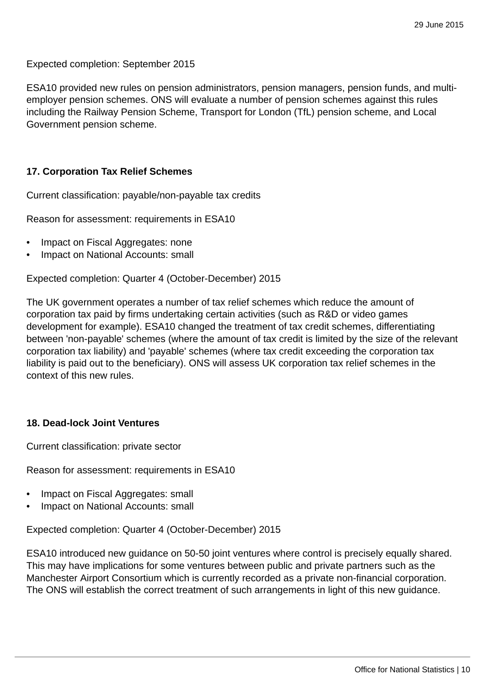Expected completion: September 2015

ESA10 provided new rules on pension administrators, pension managers, pension funds, and multiemployer pension schemes. ONS will evaluate a number of pension schemes against this rules including the Railway Pension Scheme, Transport for London (TfL) pension scheme, and Local Government pension scheme.

#### **17. Corporation Tax Relief Schemes**

Current classification: payable/non-payable tax credits

Reason for assessment: requirements in ESA10

- Impact on Fiscal Aggregates: none
- Impact on National Accounts: small

Expected completion: Quarter 4 (October-December) 2015

The UK government operates a number of tax relief schemes which reduce the amount of corporation tax paid by firms undertaking certain activities (such as R&D or video games development for example). ESA10 changed the treatment of tax credit schemes, differentiating between 'non-payable' schemes (where the amount of tax credit is limited by the size of the relevant corporation tax liability) and 'payable' schemes (where tax credit exceeding the corporation tax liability is paid out to the beneficiary). ONS will assess UK corporation tax relief schemes in the context of this new rules.

#### **18. Dead-lock Joint Ventures**

Current classification: private sector

Reason for assessment: requirements in ESA10

- Impact on Fiscal Aggregates: small
- Impact on National Accounts: small

Expected completion: Quarter 4 (October-December) 2015

ESA10 introduced new guidance on 50-50 joint ventures where control is precisely equally shared. This may have implications for some ventures between public and private partners such as the Manchester Airport Consortium which is currently recorded as a private non-financial corporation. The ONS will establish the correct treatment of such arrangements in light of this new guidance.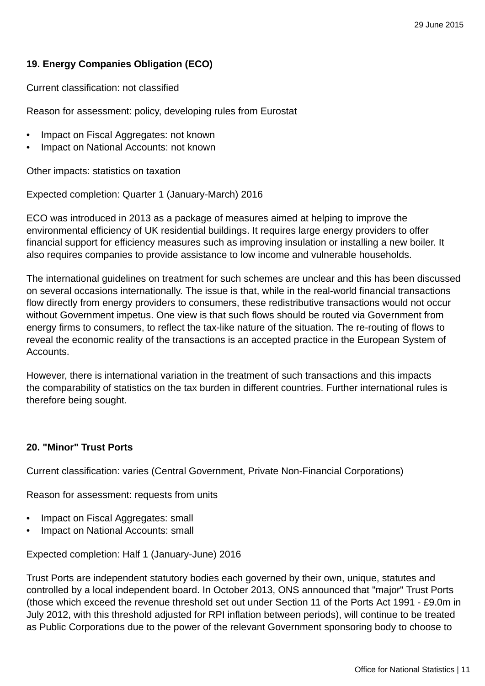## **19. Energy Companies Obligation (ECO)**

Current classification: not classified

Reason for assessment: policy, developing rules from Eurostat

- Impact on Fiscal Aggregates: not known
- Impact on National Accounts: not known

Other impacts: statistics on taxation

Expected completion: Quarter 1 (January-March) 2016

ECO was introduced in 2013 as a package of measures aimed at helping to improve the environmental efficiency of UK residential buildings. It requires large energy providers to offer financial support for efficiency measures such as improving insulation or installing a new boiler. It also requires companies to provide assistance to low income and vulnerable households.

The international guidelines on treatment for such schemes are unclear and this has been discussed on several occasions internationally. The issue is that, while in the real-world financial transactions flow directly from energy providers to consumers, these redistributive transactions would not occur without Government impetus. One view is that such flows should be routed via Government from energy firms to consumers, to reflect the tax-like nature of the situation. The re-routing of flows to reveal the economic reality of the transactions is an accepted practice in the European System of Accounts.

However, there is international variation in the treatment of such transactions and this impacts the comparability of statistics on the tax burden in different countries. Further international rules is therefore being sought.

#### **20. "Minor" Trust Ports**

Current classification: varies (Central Government, Private Non-Financial Corporations)

Reason for assessment: requests from units

- Impact on Fiscal Aggregates: small
- Impact on National Accounts: small

Expected completion: Half 1 (January-June) 2016

Trust Ports are independent statutory bodies each governed by their own, unique, statutes and controlled by a local independent board. In October 2013, ONS announced that "major" Trust Ports (those which exceed the revenue threshold set out under Section 11 of the Ports Act 1991 - £9.0m in July 2012, with this threshold adjusted for RPI inflation between periods), will continue to be treated as Public Corporations due to the power of the relevant Government sponsoring body to choose to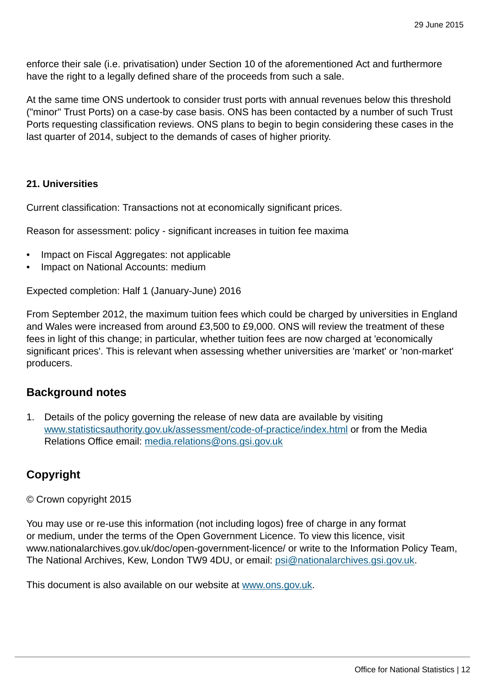enforce their sale (i.e. privatisation) under Section 10 of the aforementioned Act and furthermore have the right to a legally defined share of the proceeds from such a sale.

At the same time ONS undertook to consider trust ports with annual revenues below this threshold ("minor" Trust Ports) on a case-by case basis. ONS has been contacted by a number of such Trust Ports requesting classification reviews. ONS plans to begin to begin considering these cases in the last quarter of 2014, subject to the demands of cases of higher priority.

#### **21. Universities**

Current classification: Transactions not at economically significant prices.

Reason for assessment: policy - significant increases in tuition fee maxima

- Impact on Fiscal Aggregates: not applicable
- Impact on National Accounts: medium

Expected completion: Half 1 (January-June) 2016

From September 2012, the maximum tuition fees which could be charged by universities in England and Wales were increased from around £3,500 to £9,000. ONS will review the treatment of these fees in light of this change; in particular, whether tuition fees are now charged at 'economically significant prices'. This is relevant when assessing whether universities are 'market' or 'non-market' producers.

## **Background notes**

1. Details of the policy governing the release of new data are available by visiting [www.statisticsauthority.gov.uk/assessment/code-of-practice/index.html](http://www.statisticsauthority.gov.uk/assessment/code-of-practice/index.html) or from the Media Relations Office email: [media.relations@ons.gsi.gov.uk](mailto:media.relations@ons.gsi.gov.uk)

# **Copyright**

© Crown copyright 2015

You may use or re-use this information (not including logos) free of charge in any format or medium, under the terms of the Open Government Licence. To view this licence, visit www.nationalarchives.gov.uk/doc/open-government-licence/ or write to the Information Policy Team, The National Archives, Kew, London TW9 4DU, or email: [psi@nationalarchives.gsi.gov.uk](mailto:psi@nationalarchives.gsi.gov.uk).

This document is also available on our website at [www.ons.gov.uk.](http://www.ons.gov.uk/)